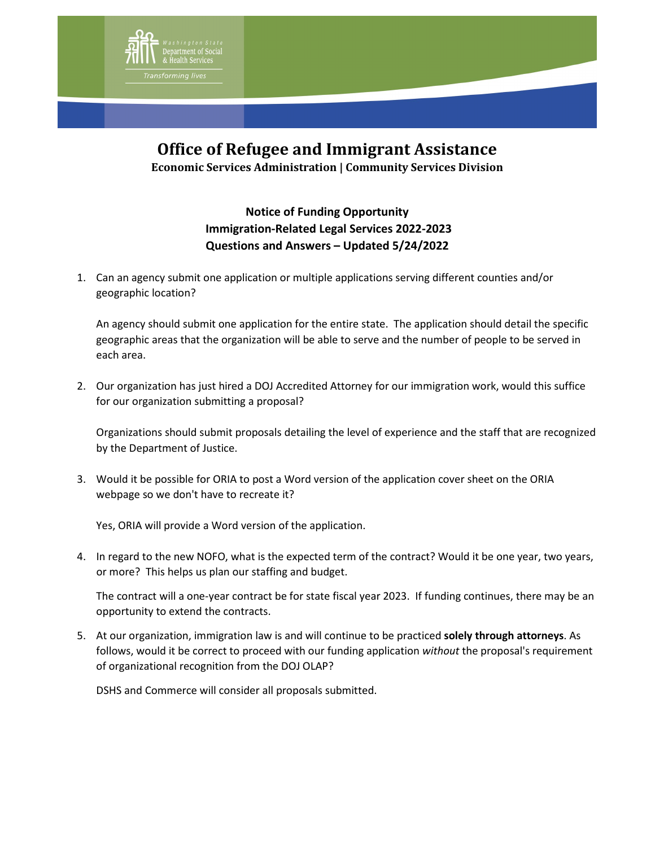

## **Office of Refugee and Immigrant Assistance**

**Economic Services Administration | Community Services Division**

## **Notice of Funding Opportunity Immigration-Related Legal Services 2022-2023 Questions and Answers – Updated 5/24/2022**

1. Can an agency submit one application or multiple applications serving different counties and/or geographic location?

An agency should submit one application for the entire state. The application should detail the specific geographic areas that the organization will be able to serve and the number of people to be served in each area.

2. Our organization has just hired a DOJ Accredited Attorney for our immigration work, would this suffice for our organization submitting a proposal?

Organizations should submit proposals detailing the level of experience and the staff that are recognized by the Department of Justice.

3. Would it be possible for ORIA to post a Word version of the application cover sheet on the ORIA webpage so we don't have to recreate it?

Yes, ORIA will provide a Word version of the application.

4. In regard to the new NOFO, what is the expected term of the contract? Would it be one year, two years, or more? This helps us plan our staffing and budget.

The contract will a one-year contract be for state fiscal year 2023. If funding continues, there may be an opportunity to extend the contracts.

5. At our organization, immigration law is and will continue to be practiced **solely through attorneys**. As follows, would it be correct to proceed with our funding application *without* the proposal's requirement of organizational recognition from the DOJ OLAP?

DSHS and Commerce will consider all proposals submitted.